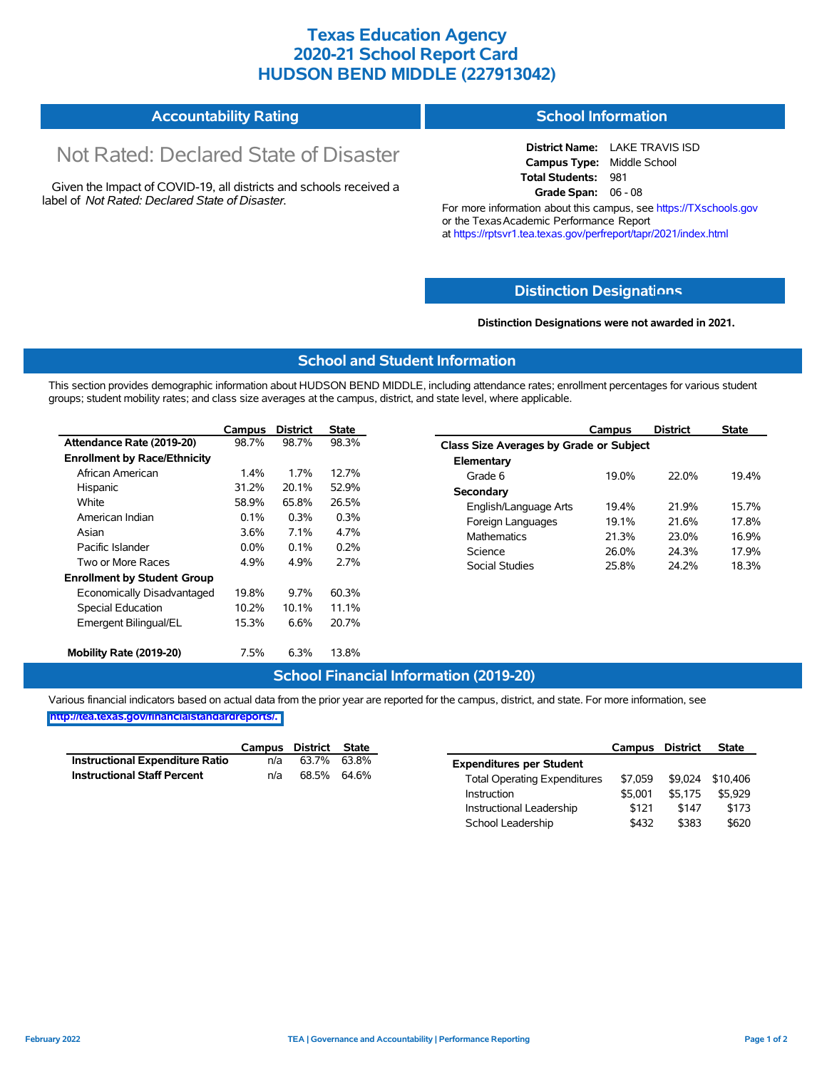## **Texas Education Agency 2020-21 School Report Card HUDSON BEND MIDDLE (227913042)**

#### **Accountability Rating School Information**

# Not Rated: Declared State of Disaster

Given the Impact of COVID-19, all districts and schools received a label of *Not Rated: Declared State of Disaster.*

**District Name:** LAKE TRAVIS ISD **Campus Type:** Middle School **Total Students:** 981 **Grade Span:** 06 - 08

For more information about this campus, see https://TXschools.gov or the Texas Academic Performance Report at https://rptsvr1.tea.texas.gov/perfreport/tapr/2021/index.html

#### **Distinction Designat[ions](https://TXschools.gov)**

**Distinction Designations were not awarded in 2021.**

School Leadership  $$432$  \$383 \$620

#### **School and Student Information**

This section provides demographic information about HUDSON BEND MIDDLE, including attendance rates; enrollment percentages for various student groups; student mobility rates; and class size averages at the campus, district, and state level, where applicable.

|                                     | Campus  | <b>District</b> | <b>State</b> | Campus                                  | <b>District</b> | <b>State</b> |
|-------------------------------------|---------|-----------------|--------------|-----------------------------------------|-----------------|--------------|
| Attendance Rate (2019-20)           | 98.7%   | 98.7%           | 98.3%        | Class Size Averages by Grade or Subject |                 |              |
| <b>Enrollment by Race/Ethnicity</b> |         |                 |              | Elementary                              |                 |              |
| African American                    | 1.4%    | 1.7%            | 12.7%        | Grade 6<br>19.0%                        | 22.0%           | 19.4%        |
| Hispanic                            | 31.2%   | 20.1%           | 52.9%        | Secondary                               |                 |              |
| White                               | 58.9%   | 65.8%           | 26.5%        | English/Language Arts<br>19.4%          | 21.9%           | 15.7%        |
| American Indian                     | 0.1%    | 0.3%            | 0.3%         | Foreign Languages<br>19.1%              | 21.6%           | 17.8%        |
| Asian                               | 3.6%    | 7.1%            | 4.7%         | <b>Mathematics</b><br>21.3%             | 23.0%           | 16.9%        |
| Pacific Islander                    | $0.0\%$ | 0.1%            | 0.2%         | Science<br>26.0%                        | 24.3%           | 17.9%        |
| Two or More Races                   | 4.9%    | 4.9%            | 2.7%         | Social Studies<br>25.8%                 | 24.2%           | 18.3%        |
| <b>Enrollment by Student Group</b>  |         |                 |              |                                         |                 |              |
| Economically Disadvantaged          | 19.8%   | 9.7%            | 60.3%        |                                         |                 |              |
| Special Education                   | 10.2%   | 10.1%           | 11.1%        |                                         |                 |              |
| Emergent Bilingual/EL               | 15.3%   | 6.6%            | 20.7%        |                                         |                 |              |
| Mobility Rate (2019-20)             | 7.5%    | 6.3%            | 13.8%        |                                         |                 |              |

#### **School Financial Information (2019-20)**

Various financial indicators based on actual data from the prior year are reported for the campus, district, and state. For more information, see

**[http://tea.texas.gov/financialstandardreports/.](http://tea.texas.gov/financialstandardreports/)**

|                                    | Campus | District | State |                                     | Campus  | <b>District</b> | <b>State</b> |
|------------------------------------|--------|----------|-------|-------------------------------------|---------|-----------------|--------------|
| Instructional Expenditure Ratio    | n/a    | 63.7%    | 63.8% | <b>Expenditures per Student</b>     |         |                 |              |
| <b>Instructional Staff Percent</b> | n/a    | 68.5%    | 64.6% | <b>Total Operating Expenditures</b> | \$7.059 | \$9.024         | \$10.406     |
|                                    |        |          |       | Instruction                         | \$5.001 | \$5.175         | \$5.929      |
|                                    |        |          |       | Instructional Leadership            | \$121   | \$147           | \$173        |